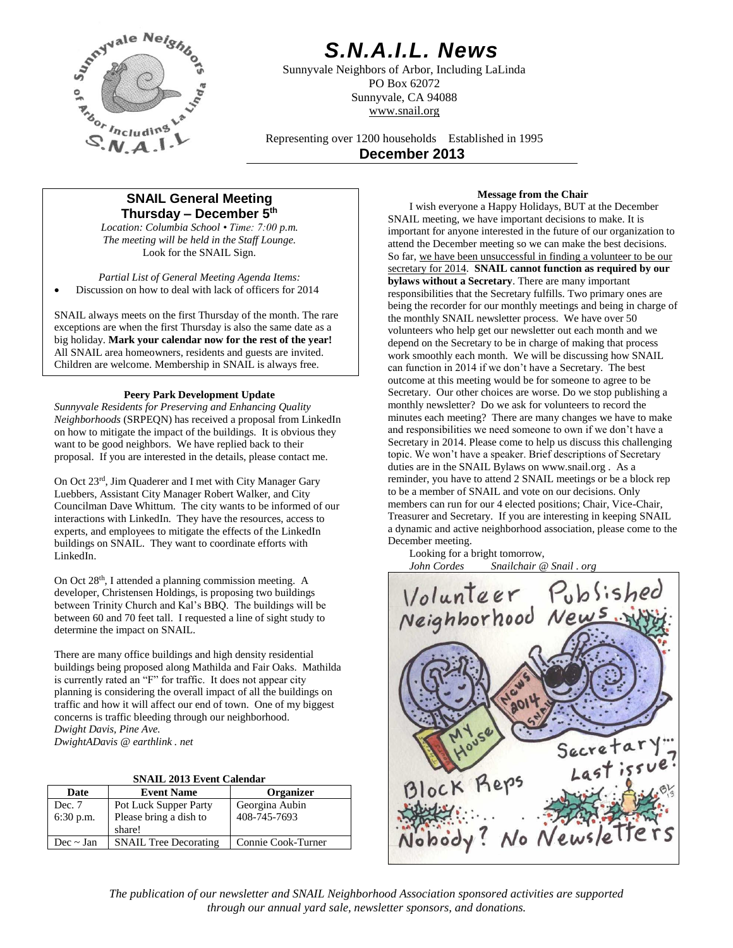

# *S.N.A.I.L. News*

Sunnyvale Neighbors of Arbor, Including LaLinda PO Box 62072 Sunnyvale, CA 94088 www.snail.org

Representing over 1200 households Established in 1995 **December 2013**

# **SNAIL General Meeting Thursday – December 5 th**

*Location: Columbia School • Time: 7:00 p.m. The meeting will be held in the Staff Lounge.* Look for the SNAIL Sign.

*Partial List of General Meeting Agenda Items:* Discussion on how to deal with lack of officers for 2014

SNAIL always meets on the first Thursday of the month. The rare exceptions are when the first Thursday is also the same date as a big holiday. **Mark your calendar now for the rest of the year!** All SNAIL area homeowners, residents and guests are invited. Children are welcome. Membership in SNAIL is always free.

# **Peery Park Development Update**

*Sunnyvale Residents for Preserving and Enhancing Quality Neighborhoods* (SRPEQN) has received a proposal from LinkedIn on how to mitigate the impact of the buildings. It is obvious they want to be good neighbors. We have replied back to their proposal. If you are interested in the details, please contact me.

On Oct 23rd, Jim Quaderer and I met with City Manager Gary Luebbers, Assistant City Manager Robert Walker, and City Councilman Dave Whittum. The city wants to be informed of our interactions with LinkedIn. They have the resources, access to experts, and employees to mitigate the effects of the LinkedIn buildings on SNAIL. They want to coordinate efforts with LinkedIn.

On Oct 28th, I attended a planning commission meeting. A developer, Christensen Holdings, is proposing two buildings between Trinity Church and Kal's BBQ. The buildings will be between 60 and 70 feet tall. I requested a line of sight study to determine the impact on SNAIL.

There are many office buildings and high density residential buildings being proposed along Mathilda and Fair Oaks. Mathilda is currently rated an "F" for traffic. It does not appear city planning is considering the overall impact of all the buildings on traffic and how it will affect our end of town. One of my biggest concerns is traffic bleeding through our neighborhood. *Dwight Davis, Pine Ave. DwightADavis @ earthlink . net*

|  | <b>SNAIL 2013 Event Calendar</b> |
|--|----------------------------------|
|  |                                  |

| Date        | <b>Event Name</b>            | <b>Organizer</b>   |
|-------------|------------------------------|--------------------|
| Dec. 7      | <b>Pot Luck Supper Party</b> | Georgina Aubin     |
| $6:30$ p.m. | Please bring a dish to       | 408-745-7693       |
|             | share!                       |                    |
| $Dec$ ~ Jan | <b>SNAIL Tree Decorating</b> | Connie Cook-Turner |

# **Message from the Chair**

I wish everyone a Happy Holidays, BUT at the December SNAIL meeting, we have important decisions to make. It is important for anyone interested in the future of our organization to attend the December meeting so we can make the best decisions. So far, we have been unsuccessful in finding a volunteer to be our secretary for 2014. **SNAIL cannot function as required by our bylaws without a Secretary**. There are many important responsibilities that the Secretary fulfills. Two primary ones are being the recorder for our monthly meetings and being in charge of the monthly SNAIL newsletter process. We have over 50 volunteers who help get our newsletter out each month and we depend on the Secretary to be in charge of making that process work smoothly each month. We will be discussing how SNAIL can function in 2014 if we don't have a Secretary. The best outcome at this meeting would be for someone to agree to be Secretary. Our other choices are worse. Do we stop publishing a monthly newsletter? Do we ask for volunteers to record the minutes each meeting? There are many changes we have to make and responsibilities we need someone to own if we don't have a Secretary in 2014. Please come to help us discuss this challenging topic. We won't have a speaker. Brief descriptions of Secretary duties are in the SNAIL Bylaws on www.snail.org . As a reminder, you have to attend 2 SNAIL meetings or be a block rep to be a member of SNAIL and vote on our decisions. Only members can run for our 4 elected positions; Chair, Vice-Chair, Treasurer and Secretary. If you are interesting in keeping SNAIL a dynamic and active neighborhood association, please come to the December meeting.

Looking for a bright tomorrow,<br>John Cordes Snailchair @ *John Cordes Snailchair @ Snail . org*



*The publication of our newsletter and SNAIL Neighborhood Association sponsored activities are supported through our annual yard sale, newsletter sponsors, and donations.*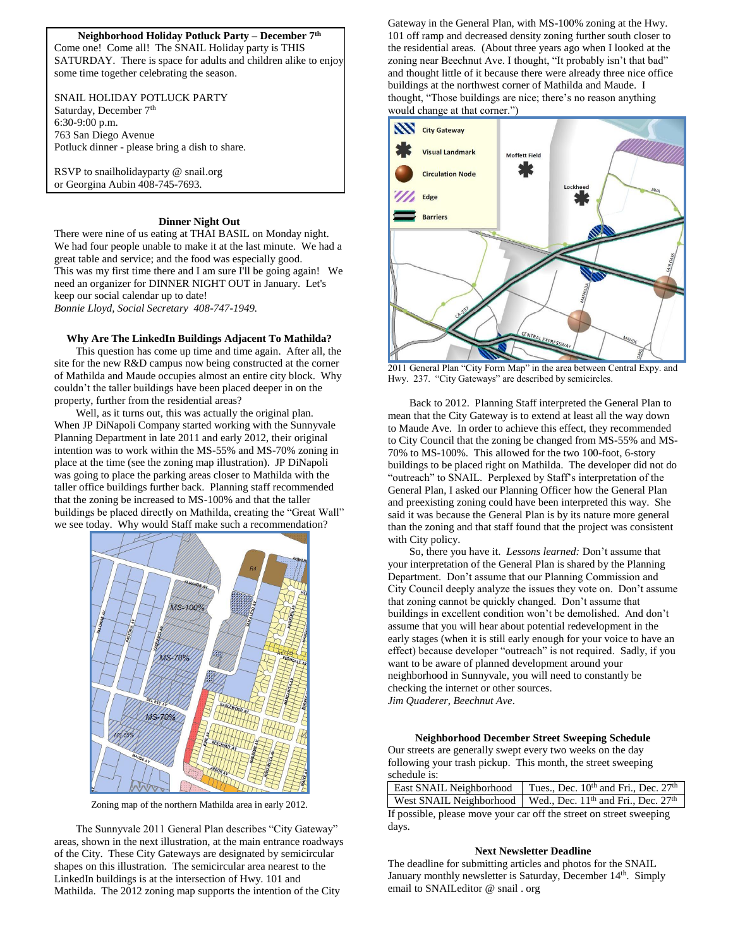#### **Neighborhood Holiday Potluck Party – December 7th**

Come one! Come all! The SNAIL Holiday party is THIS SATURDAY. There is space for adults and children alike to enjoy some time together celebrating the season.

SNAIL HOLIDAY POTLUCK PARTY

Saturday, December 7<sup>th</sup> 6:30-9:00 p.m. 763 San Diego Avenue Potluck dinner - please bring a dish to share.

RSVP to snailholidayparty @ snail.org or Georgina Aubin 408-745-7693.

## **Dinner Night Out**

There were nine of us eating at THAI BASIL on Monday night. We had four people unable to make it at the last minute. We had a great table and service; and the food was especially good. This was my first time there and I am sure I'll be going again! We need an organizer for DINNER NIGHT OUT in January. Let's keep our social calendar up to date! *Bonnie Lloyd, Social Secretary 408-747-1949.*

#### **Why Are The LinkedIn Buildings Adjacent To Mathilda?**

This question has come up time and time again. After all, the site for the new R&D campus now being constructed at the corner of Mathilda and Maude occupies almost an entire city block. Why couldn't the taller buildings have been placed deeper in on the property, further from the residential areas?

Well, as it turns out, this was actually the original plan. When JP DiNapoli Company started working with the Sunnyvale Planning Department in late 2011 and early 2012, their original intention was to work within the MS-55% and MS-70% zoning in place at the time (see the zoning map illustration). JP DiNapoli was going to place the parking areas closer to Mathilda with the taller office buildings further back. Planning staff recommended that the zoning be increased to MS-100% and that the taller buildings be placed directly on Mathilda, creating the "Great Wall" we see today. Why would Staff make such a recommendation?



Zoning map of the northern Mathilda area in early 2012.

The Sunnyvale 2011 General Plan describes "City Gateway" areas, shown in the next illustration, at the main entrance roadways of the City. These City Gateways are designated by semicircular shapes on this illustration. The semicircular area nearest to the LinkedIn buildings is at the intersection of Hwy. 101 and Mathilda. The 2012 zoning map supports the intention of the City

Gateway in the General Plan, with MS-100% zoning at the Hwy. 101 off ramp and decreased density zoning further south closer to the residential areas. (About three years ago when I looked at the zoning near Beechnut Ave. I thought, "It probably isn't that bad" and thought little of it because there were already three nice office buildings at the northwest corner of Mathilda and Maude. I thought, "Those buildings are nice; there's no reason anything would change at that corner.")



2011 General Plan "City Form Map" in the area between Central Expy. and Hwy. 237. "City Gateways" are described by semicircles.

Back to 2012. Planning Staff interpreted the General Plan to mean that the City Gateway is to extend at least all the way down to Maude Ave. In order to achieve this effect, they recommended to City Council that the zoning be changed from MS-55% and MS-70% to MS-100%. This allowed for the two 100-foot, 6-story buildings to be placed right on Mathilda. The developer did not do "outreach" to SNAIL. Perplexed by Staff's interpretation of the General Plan, I asked our Planning Officer how the General Plan and preexisting zoning could have been interpreted this way. She said it was because the General Plan is by its nature more general than the zoning and that staff found that the project was consistent with City policy.

So, there you have it. *Lessons learned:* Don't assume that your interpretation of the General Plan is shared by the Planning Department. Don't assume that our Planning Commission and City Council deeply analyze the issues they vote on. Don't assume that zoning cannot be quickly changed. Don't assume that buildings in excellent condition won't be demolished. And don't assume that you will hear about potential redevelopment in the early stages (when it is still early enough for your voice to have an effect) because developer "outreach" is not required. Sadly, if you want to be aware of planned development around your neighborhood in Sunnyvale, you will need to constantly be checking the internet or other sources. *Jim Quaderer, Beechnut Ave*.

### **Neighborhood December Street Sweeping Schedule**

Our streets are generally swept every two weeks on the day following your trash pickup. This month, the street sweeping schedule is:

|                                                                     | East SNAIL Neighborhood   Tues., Dec. 10 <sup>th</sup> and Fri., Dec. 27 <sup>th</sup> |  |  |  |
|---------------------------------------------------------------------|----------------------------------------------------------------------------------------|--|--|--|
|                                                                     | West SNAIL Neighborhood   Wed., Dec. 11 <sup>th</sup> and Fri., Dec. 27 <sup>th</sup>  |  |  |  |
| If no saible places move your ear off the street on street sweeping |                                                                                        |  |  |  |

If possible, please move your car off the street on street sweeping days.

#### **Next Newsletter Deadline**

The deadline for submitting articles and photos for the SNAIL January monthly newsletter is Saturday, December 14<sup>th</sup>. Simply email to SNAILeditor @ snail . org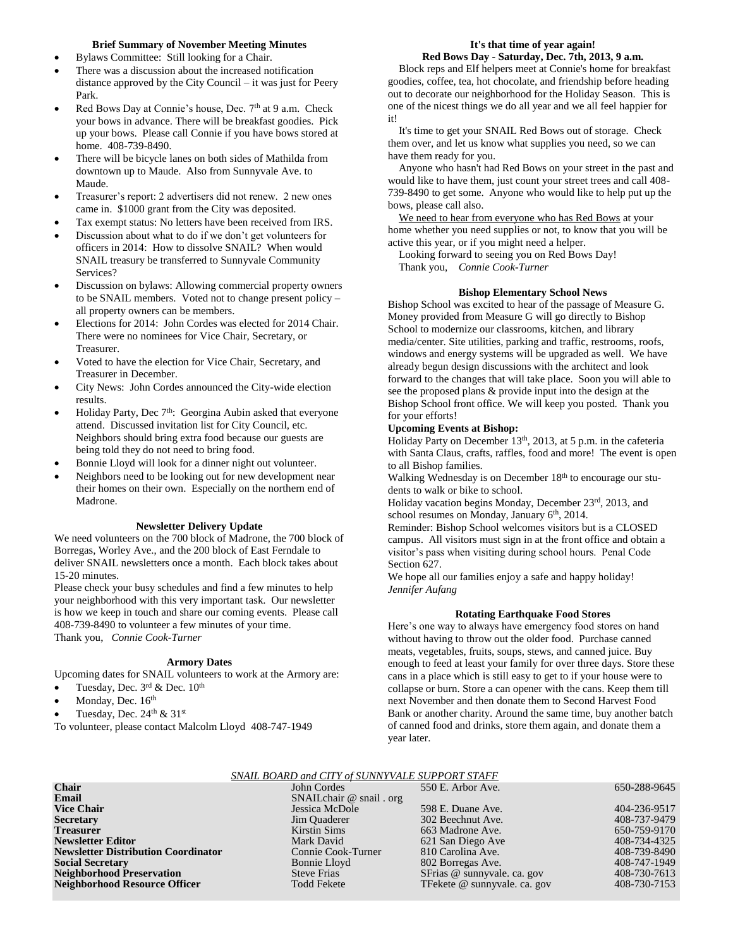#### **Brief Summary of November Meeting Minutes**

- Bylaws Committee: Still looking for a Chair.
- There was a discussion about the increased notification distance approved by the City Council – it was just for Peery Park.
- Red Bows Day at Connie's house, Dec.  $7<sup>th</sup>$  at 9 a.m. Check your bows in advance. There will be breakfast goodies. Pick up your bows. Please call Connie if you have bows stored at home. 408-739-8490.
- There will be bicycle lanes on both sides of Mathilda from downtown up to Maude. Also from Sunnyvale Ave. to Maude.
- Treasurer's report: 2 advertisers did not renew. 2 new ones came in. \$1000 grant from the City was deposited.
- Tax exempt status: No letters have been received from IRS.
- Discussion about what to do if we don't get volunteers for officers in 2014: How to dissolve SNAIL? When would SNAIL treasury be transferred to Sunnyvale Community Services?
- Discussion on bylaws: Allowing commercial property owners to be SNAIL members. Voted not to change present policy – all property owners can be members.
- Elections for 2014: John Cordes was elected for 2014 Chair. There were no nominees for Vice Chair, Secretary, or Treasurer.
- Voted to have the election for Vice Chair, Secretary, and Treasurer in December.
- City News: John Cordes announced the City-wide election results.
- Holiday Party, Dec 7<sup>th</sup>: Georgina Aubin asked that everyone attend. Discussed invitation list for City Council, etc. Neighbors should bring extra food because our guests are being told they do not need to bring food.
- Bonnie Lloyd will look for a dinner night out volunteer.
- Neighbors need to be looking out for new development near their homes on their own. Especially on the northern end of Madrone.

#### **Newsletter Delivery Update**

We need volunteers on the 700 block of Madrone, the 700 block of Borregas, Worley Ave., and the 200 block of East Ferndale to deliver SNAIL newsletters once a month. Each block takes about 15-20 minutes.

Please check your busy schedules and find a few minutes to help your neighborhood with this very important task. Our newsletter is how we keep in touch and share our coming events. Please call 408-739-8490 to volunteer a few minutes of your time. Thank you, *Connie Cook-Turner*

#### **Armory Dates**

Upcoming dates for SNAIL volunteers to work at the Armory are:

- Tuesday, Dec.  $3^{\text{rd}}$  & Dec.  $10^{\text{th}}$
- Monday, Dec. 16th
- Tuesday, Dec. 24<sup>th</sup> & 31<sup>st</sup>
- To volunteer, please contact Malcolm Lloyd 408-747-1949

#### **It's that time of year again! Red Bows Day - Saturday, Dec. 7th, 2013, 9 a.m.**

Block reps and Elf helpers meet at Connie's home for breakfast goodies, coffee, tea, hot chocolate, and friendship before heading out to decorate our neighborhood for the Holiday Season. This is one of the nicest things we do all year and we all feel happier for it!

 It's time to get your SNAIL Red Bows out of storage. Check them over, and let us know what supplies you need, so we can have them ready for you.

 Anyone who hasn't had Red Bows on your street in the past and would like to have them, just count your street trees and call 408- 739-8490 to get some. Anyone who would like to help put up the bows, please call also.

 We need to hear from everyone who has Red Bows at your home whether you need supplies or not, to know that you will be active this year, or if you might need a helper.

 Looking forward to seeing you on Red Bows Day! Thank you, *Connie Cook-Turner*

# **Bishop Elementary School News**

Bishop School was excited to hear of the passage of Measure G. Money provided from Measure G will go directly to Bishop School to modernize our classrooms, kitchen, and library media/center. Site utilities, parking and traffic, restrooms, roofs, windows and energy systems will be upgraded as well. We have already begun design discussions with the architect and look forward to the changes that will take place. Soon you will able to see the proposed plans & provide input into the design at the Bishop School front office. We will keep you posted. Thank you for your efforts!

# **Upcoming Events at Bishop:**

Holiday Party on December 13<sup>th</sup>, 2013, at 5 p.m. in the cafeteria with Santa Claus, crafts, raffles, food and more! The event is open to all Bishop families.

Walking Wednesday is on December 18<sup>th</sup> to encourage our students to walk or bike to school.

Holiday vacation begins Monday, December 23rd, 2013, and school resumes on Monday, January 6<sup>th</sup>, 2014.

Reminder: Bishop School welcomes visitors but is a CLOSED campus. All visitors must sign in at the front office and obtain a visitor's pass when visiting during school hours. Penal Code Section 627.

We hope all our families enjoy a safe and happy holiday! *Jennifer Aufang*

#### **Rotating Earthquake Food Stores**

Here's one way to always have emergency food stores on hand without having to throw out the older food. Purchase canned meats, vegetables, fruits, soups, stews, and canned juice. Buy enough to feed at least your family for over three days. Store these cans in a place which is still easy to get to if your house were to collapse or burn. Store a can opener with the cans. Keep them till next November and then donate them to Second Harvest Food Bank or another charity. Around the same time, buy another batch of canned food and drinks, store them again, and donate them a year later.

# *SNAIL BOARD and CITY of SUNNYVALE SUPPORT STAFF*

| <b>Chair</b>                               | John Cordes              | 550 E. Arbor Ave.            | 650-288-9645 |
|--------------------------------------------|--------------------------|------------------------------|--------------|
| Email                                      | SNAILchair @ snail . org |                              |              |
| <b>Vice Chair</b>                          | Jessica McDole           | 598 E. Duane Ave.            | 404-236-9517 |
| Secretary                                  | Jim Quaderer             | 302 Beechnut Ave.            | 408-737-9479 |
| Treasurer                                  | Kirstin Sims             | 663 Madrone Ave.             | 650-759-9170 |
| <b>Newsletter Editor</b>                   | Mark David               | 621 San Diego Ave            | 408-734-4325 |
| <b>Newsletter Distribution Coordinator</b> | Connie Cook-Turner       | 810 Carolina Ave.            | 408-739-8490 |
| <b>Social Secretary</b>                    | Bonnie Lloyd             | 802 Borregas Ave.            | 408-747-1949 |
| <b>Neighborhood Preservation</b>           | <b>Steve Frias</b>       | SFrias @ sunnyvale. ca. gov  | 408-730-7613 |
| Neighborhood Resource Officer              | <b>Todd Fekete</b>       | TFekete @ sunnyvale. ca. gov | 408-730-7153 |
|                                            |                          |                              |              |